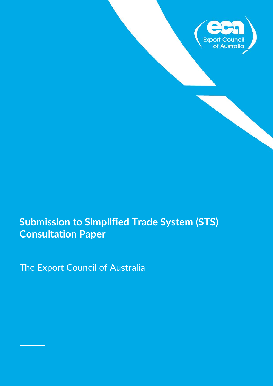

# **Submission to Simplified Trade System (STS) Consultation Paper**

The Export Council of Australia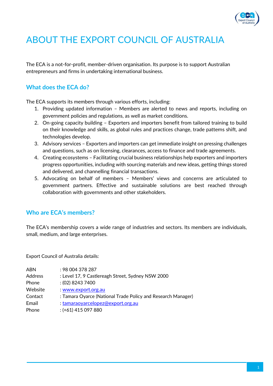

# ABOUT THE EXPORT COUNCIL OF AUSTRALIA

The ECA is a not-for-profit, member-driven organisation. Its purpose is to support Australian entrepreneurs and firms in undertaking international business.

## **What does the ECA do?**

The ECA supports its members through various efforts, including:

- 1. Providing updated information Members are alerted to news and reports, including on government policies and regulations, as well as market conditions.
- 2. On-going capacity building Exporters and importers benefit from tailored training to build on their knowledge and skills, as global rules and practices change, trade patterns shift, and technologies develop.
- 3. Advisory services Exporters and importers can get immediate insight on pressing challenges and questions, such as on licensing, clearances, access to finance and trade agreements.
- 4. Creating ecosystems Facilitating crucial business relationships help exporters and importers progress opportunities, including with sourcing materials and new ideas, getting things stored and delivered, and channelling financial transactions.
- 5. Advocating on behalf of members Members' views and concerns are articulated to government partners. Effective and sustainable solutions are best reached through collaboration with governments and other stakeholders.

### **Who are ECA's members?**

The ECA's membership covers a wide range of industries and sectors. Its members are individuals, small, medium, and large enterprises.

Export Council of Australia details:

| <b>ABN</b>     | : 98 004 378 287                                             |
|----------------|--------------------------------------------------------------|
| <b>Address</b> | : Level 17, 9 Castlereagh Street, Sydney NSW 2000            |
| Phone          | $(02)$ 8243 7400                                             |
| Website        | : www.export.org.au                                          |
| Contact        | : Tamara Oyarce (National Trade Policy and Research Manager) |
| Email          | : tamaraoyarcelopez@export.org.au                            |
| Phone          | $:(+61)$ 415 097 880                                         |
|                |                                                              |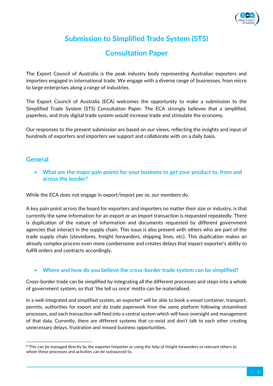

## **Submission to Simplified Trade System (STS)**

## **Consultation Paper**

The Export Council of Australia is the peak industry body representing Australian exporters and importers engaged in international trade. We engage with a diverse range of businesses, from micro to large enterprises along a range of industries.

The Export Council of Australia (ECA) welcomes the opportunity to make a submission to the Simplified Trade System (STS) Consultation Paper. The ECA strongly believes that a simplified, paperless, and truly digital trade system would increase trade and stimulate the economy.

Our responses to the present submission are based on our views, reflecting the insights and input of hundreds of exporters and importers we support and collaborate with on a daily basis.

### **General**

• **What are the major pain points for your business to get your product to, from and across the border?**

While the ECA does not engage in export/import per se, our members do.

A key pain point across the board for exporters and importers no matter their size or industry, is that currently the same information for an export or an import transaction is requested repeatedly. There is duplication of the nature of information and documents requested by different government agencies that interact in the supply chain. This issue is also present with others who are part of the trade supply chain (stevedores, freight forwarders, shipping lines, etc). This duplication makes an already complex process even more cumbersome and creates delays that impact exporter's ability to fulfill orders and contracts accordingly.

#### • **Where and how do you believe the cross-border trade system can be simplified?**

Cross-border trade can be simplified by integrating all the different processes and steps into a whole of government system, so that 'the tell us once' motto can be materialised.

In a well-integrated and simplified system, an exporter<sup>a</sup> will be able to book a vessel container, transport, permits, authorities for export and do trade paperwork from the same platform following streamlined processes, and each transaction will feed into a central system which will have oversight and management of that data. Currently, there are different systems that co-exist and don't talk to each other creating unnecessary delays, frustration and missed business opportunities.

<sup>&</sup>lt;sup>a</sup> This can be managed directly by the exporter/importer or using the help of freight forwarders or relevant others to whom these processes and activities can be outsourced to.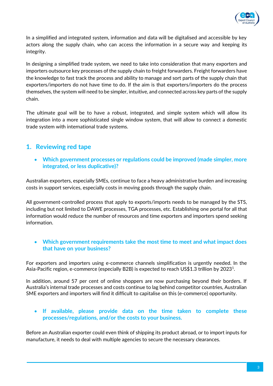

In a simplified and integrated system, information and data will be digitalised and accessible by key actors along the supply chain, who can access the information in a secure way and keeping its integrity.

In designing a simplified trade system, we need to take into consideration that many exporters and importers outsource key processes of the supply chain to freight forwarders. Freight forwarders have the knowledge to fast track the process and ability to manage and sort parts of the supply chain that exporters/importers do not have time to do. If the aim is that exporters/importers do the process themselves, the system will need to be simpler, intuitive, and connected across key parts of the supply chain.

The ultimate goal will be to have a robust, integrated, and simple system which will allow its integration into a more sophisticated single window system, that will allow to connect a domestic trade system with international trade systems.

## **1. Reviewing red tape**

• **Which government processes or regulations could be improved (made simpler, more integrated, or less duplicative)?** 

Australian exporters, especially SMEs, continue to face a heavy administrative burden and increasing costs in support services, especially costs in moving goods through the supply chain.

All government-controlled process that apply to exports/imports needs to be managed by the STS, including but not limited to DAWE processes, TGA processes, etc. Establishing one portal for all that information would reduce the number of resources and time exporters and importers spend seeking information.

#### • **Which government requirements take the most time to meet and what impact does that have on your business?**

For exporters and importers using e-commerce channels simplification is urgently needed. In the Asia-Pacific region, e-commerce (especially B2B) is expected to reach US\$1.3 trillion by 2023<sup>1</sup>.

In addition, around 57 per cent of online shoppers are now purchasing beyond their borders. If Australia's internal trade processes and costs continue to lag behind competitor countries, Australian SME exporters and importers will find it difficult to capitalise on this (e-commerce) opportunity.

#### • **If available, please provide data on the time taken to complete these processes/regulations, and/or the costs to your business.**

Before an Australian exporter could even think of shipping its product abroad, or to import inputs for manufacture, it needs to deal with multiple agencies to secure the necessary clearances.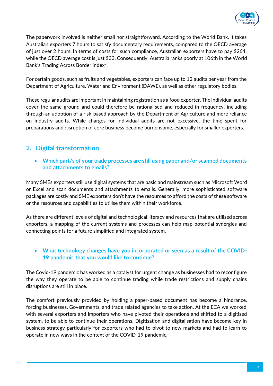

The paperwork involved is neither small nor straightforward. According to the World Bank, it takes Australian exporters 7 hours to satisfy documentary requirements, compared to the OECD average of just over 2 hours. In terms of costs for such compliance, Australian exporters have to pay \$264, while the OECD average cost is just \$33. Consequently, Australia ranks poorly at 106th in the World Bank's Trading Across Border index<sup>2</sup>.

For certain goods, such as fruits and vegetables, exporters can face up to 12 audits per year from the Department of Agriculture, Water and Environment (DAWE), as well as other regulatory bodies.

These regular audits are important in maintaining registration as a food exporter. The individual audits cover the same ground and could therefore be rationalised and reduced in frequency, including through an adoption of a risk-based approach by the Department of Agriculture and more reliance on industry audits. While charges for individual audits are not excessive, the time spent for preparations and disruption of core business become burdensome, especially for smaller exporters.

## **2. Digital transformation**

• **Which part/s of your trade processes are still using paper and/or scanned documents and attachments to emails?**

Many SMEs exporters still use digital systems that are basic and mainstream such as Microsoft Word or Excel and scan documents and attachments to emails. Generally, more sophisticated software packages are costly and SME exporters don't have the resources to afford the costs of these software or the resources and capabilities to utilise them within their workforce.

As there are different levels of digital and technological literacy and resources that are utilised across exporters, a mapping of the current systems and processes can help map potential synergies and connecting points for a future simplified and integrated system.

#### • **What technology changes have you incorporated or seen as a result of the COVID-19 pandemic that you would like to continue?**

The Covid-19 pandemic has worked as a catalyst for urgent change as businesses had to reconfigure the way they operate to be able to continue trading while trade restrictions and supply chains disruptions are still in place.

The comfort previously provided by holding a paper-based document has become a hindrance, forcing businesses, Governments, and trade related agencies to take action. At the ECA we worked with several exporters and importers who have pivoted their operations and shifted to a digitised system, to be able to continue their operations. Digitisation and digitalisation have become key in business strategy particularly for exporters who had to pivot to new markets and had to learn to operate in new ways in the context of the COVID-19 pandemic.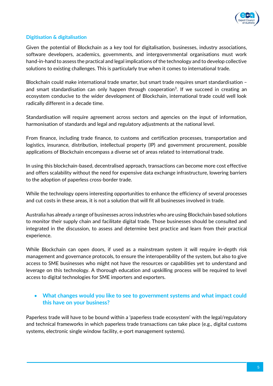

#### **Digitisation & digitalisation**

Given the potential of Blockchain as a key tool for digitalisation, businesses, industry associations, software developers, academics, governments, and intergovernmental organisations must work hand-in-hand to assess the practical and legal implications of the technology and to develop collective solutions to existing challenges. This is particularly true when it comes to international trade.

Blockchain could make international trade smarter, but smart trade requires smart standardisation – and smart standardisation can only happen through cooperation<sup>3</sup>. If we succeed in creating an ecosystem conducive to the wider development of Blockchain, international trade could well look radically different in a decade time.

Standardisation will require agreement across sectors and agencies on the input of information, harmonisation of standards and legal and regulatory adjustments at the national level.

From finance, including trade finance, to customs and certification processes, transportation and logistics, insurance, distribution, intellectual property (IP) and government procurement, possible applications of Blockchain encompass a diverse set of areas related to international trade.

In using this blockchain-based, decentralised approach, transactions can become more cost effective and offers scalability without the need for expensive data exchange infrastructure, lowering barriers to the adoption of paperless cross-border trade.

While the technology opens interesting opportunities to enhance the efficiency of several processes and cut costs in these areas, it is not a solution that will fit all businesses involved in trade.

Australia has already a range of businesses across industries who are using Blockchain based solutions to monitor their supply chain and facilitate digital trade. Those businesses should be consulted and integrated in the discussion, to assess and determine best practice and learn from their practical experience.

While Blockchain can open doors, if used as a mainstream system it will require in-depth risk management and governance protocols, to ensure the interoperability of the system, but also to give access to SME businesses who might not have the resources or capabilities yet to understand and leverage on this technology. A thorough education and upskilling process will be required to level access to digital technologies for SME importers and exporters.

#### • **What changes would you like to see to government systems and what impact could this have on your business?**

Paperless trade will have to be bound within a 'paperless trade ecosystem' with the legal/regulatory and technical frameworks in which paperless trade transactions can take place (e.g., digital customs systems, electronic single window facility, e-port management systems).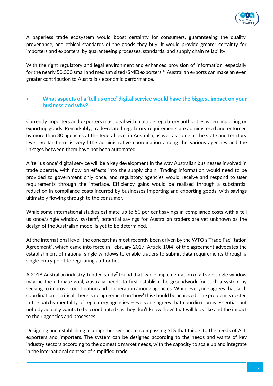

A paperless trade ecosystem would boost certainty for consumers, guaranteeing the quality, provenance, and ethical standards of the goods they buy. It would provide greater certainty for importers and exporters, by guaranteeing processes, standards, and supply chain reliability.

With the right regulatory and legal environment and enhanced provision of information, especially for the nearly 50,000 small and medium sized (SME) exporters, $4$  Australian exports can make an even greater contribution to Australia's economic performance.

#### • **What aspects of a 'tell us once' digital service would have the biggest impact on your business and why?**

Currently importers and exporters must deal with multiple regulatory authorities when importing or exporting goods. Remarkably, trade-related regulatory requirements are administered and enforced by more than 30 agencies at the federal level in Australia, as well as some at the state and territory level. So far there is very little administrative coordination among the various agencies and the linkages between them have not been automated.

A 'tell us once' digital service will be a key development in the way Australian businesses involved in trade operate, with flow on effects into the supply chain. Trading information would need to be provided to government only once, and regulatory agencies would receive and respond to user requirements through the interface. Efficiency gains would be realised through a substantial reduction in compliance costs incurred by businesses importing and exporting goods, with savings ultimately flowing through to the consumer.

While some international studies estimate up to 50 per cent savings in compliance costs with a tell us once/single window system<sup>5</sup>, potential savings for Australian traders are yet unknown as the design of the Australian model is yet to be determined.

At the international level, the concept has most recently been driven by the WTO's Trade Facilitation Agreement<sup>6</sup>, which came into force in February 2017. Article 10(4) of the agreement advocates the establishment of national single windows to enable traders to submit data requirements through a single-entry point to regulating authorities.

A 2018 Australian industry-funded study<sup>7</sup> found that, while implementation of a trade single window may be the ultimate goal, Australia needs to first establish the groundwork for such a system by seeking to improve coordination and cooperation among agencies. While everyone agrees that such coordination is critical, there is no agreement on 'how' this should be achieved. The problem is nested in the patchy mentality of regulatory agencies —everyone agrees that coordination is essential, but nobody actually wants to be coordinated- as they don't know 'how' that will look like and the impact to their agencies and processes.

Designing and establishing a comprehensive and encompassing STS that tailors to the needs of ALL exporters and importers. The system can be designed according to the needs and wants of key industry sectors according to the domestic market needs, with the capacity to scale up and integrate in the international context of simplified trade.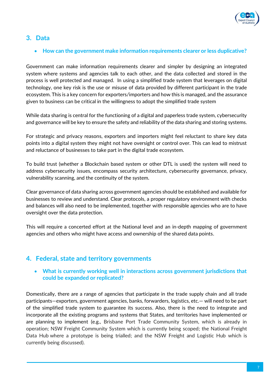

## **3. Data**

#### • **How can the government make information requirements clearer or less duplicative?**

Government can make information requirements clearer and simpler by designing an integrated system where systems and agencies talk to each other, and the data collected and stored in the process is well protected and managed. In using a simplified trade system that leverages on digital technology, one key risk is the use or misuse of data provided by different participant in the trade ecosystem. This is a key concern for exporters/importers and how this is managed, and the assurance given to business can be critical in the willingness to adopt the simplified trade system

While data sharing is central for the functioning of a digital and paperless trade system, cybersecurity and governance will be key to ensure the safety and reliability of the data sharing and storing systems.

For strategic and privacy reasons, exporters and importers might feel reluctant to share key data points into a digital system they might not have oversight or control over. This can lead to mistrust and reluctance of businesses to take part in the digital trade ecosystem.

To build trust (whether a Blockchain based system or other DTL is used) the system will need to address cybersecurity issues, encompass security architecture, cybersecurity governance, privacy, vulnerability scanning, and the continuity of the system.

Clear governance of data sharing across government agencies should be established and available for businesses to review and understand. Clear protocols, a proper regulatory environment with checks and balances will also need to be implemented, together with responsible agencies who are to have oversight over the data protection.

This will require a concerted effort at the National level and an in-depth mapping of government agencies and others who might have access and ownership of the shared data points.

## **4. Federal, state and territory governments**

#### • **What is currently working well in interactions across government jurisdictions that could be expanded or replicated?**

Domestically, there are a range of agencies that participate in the trade supply chain and all trade participants—exporters, government agencies, banks, forwarders, logistics, etc.— will need to be part of the simplified trade system to guarantee its success. Also, there is the need to integrate and incorporate all the existing programs and systems that States, and territories have implemented or are planning to implement (e.g., Brisbane Port Trade Community System, which is already in operation; NSW Freight Community System which is currently being scoped; the National Freight Data Hub where a prototype is being trialled; and the NSW Freight and Logistic Hub which is currently being discussed).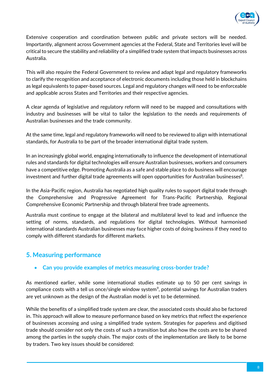

Extensive cooperation and coordination between public and private sectors will be needed. Importantly, alignment across Government agencies at the Federal, State and Territories level will be critical to secure the stability and reliability of a simplified trade system that impacts businesses across Australia.

This will also require the Federal Government to review and adapt legal and regulatory frameworks to clarify the recognition and acceptance of electronic documents including those held in blockchains as legal equivalents to paper-based sources. Legal and regulatory changes will need to be enforceable and applicable across States and Territories and their respective agencies.

A clear agenda of legislative and regulatory reform will need to be mapped and consultations with industry and businesses will be vital to tailor the legislation to the needs and requirements of Australian businesses and the trade community.

At the same time, legal and regulatory frameworks will need to be reviewed to align with international standards, for Australia to be part of the broader international digital trade system.

In an increasingly global world, engaging internationally to influence the development of international rules and standards for digital technologies will ensure Australian businesses, workers and consumers have a competitive edge. Promoting Australia as a safe and stable place to do business will encourage investment and further digital trade agreements will open opportunities for Australian businesses $^8$ .

In the Asia-Pacific region, Australia has negotiated high quality rules to support digital trade through the Comprehensive and Progressive Agreement for Trans-Pacific Partnership, Regional Comprehensive Economic Partnership and through bilateral free trade agreements.

Australia must continue to engage at the bilateral and multilateral level to lead and influence the setting of norms, standards, and regulations for digital technologies. Without harmonised international standards Australian businesses may face higher costs of doing business if they need to comply with different standards for different markets.

## **5. Measuring performance**

#### • **Can you provide examples of metrics measuring cross-border trade?**

As mentioned earlier, while some international studies estimate up to 50 per cent savings in compliance costs with a tell us once/single window system<sup>9</sup>, potential savings for Australian traders are yet unknown as the design of the Australian model is yet to be determined.

While the benefits of a simplified trade system are clear, the associated costs should also be factored in. This approach will allow to measure performance based on key metrics that reflect the experience of businesses accessing and using a simplified trade system. Strategies for paperless and digitised trade should consider not only the costs of such a transition but also how the costs are to be shared among the parties in the supply chain. The major costs of the implementation are likely to be borne by traders. Two key issues should be considered: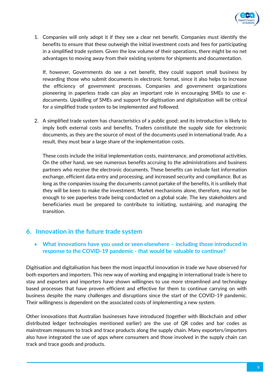

1. Companies will only adopt it if they see a clear net benefit. Companies must identify the benefits to ensure that these outweigh the initial investment costs and fees for participating in a simplified trade system. Given the low volume of their operations, there might be no net advantages to moving away from their existing systems for shipments and documentation.

If, however, Governments do see a net benefit, they could support small business by rewarding those who submit documents in electronic format, since it also helps to increase the efficiency of government processes. Companies and government organizations pioneering in paperless trade can play an important role in encouraging SMEs to use edocuments. Upskilling of SMEs and support for digitisation and digitalization will be critical for a simplified trade system to be implemented and followed.

2. A simplified trade system has characteristics of a public good; and its introduction is likely to imply both external costs and benefits. Traders constitute the supply side for electronic documents, as they are the source of most of the documents used in international trade. As a result, they must bear a large share of the implementation costs.

These costs include the initial implementation costs, maintenance, and promotional activities. On the other hand, we see numerous benefits accruing to the administrations and business partners who receive the electronic documents. These benefits can include fast information exchange, efficient data entry and processing, and increased security and compliance. But as long as the companies issuing the documents cannot partake of the benefits, it is unlikely that they will be keen to make the investment. Market mechanisms alone, therefore, may not be enough to see paperless trade being conducted on a global scale. The key stakeholders and beneficiaries must be prepared to contribute to initiating, sustaining, and managing the transition.

## **6. Innovation in the future trade system**

• **What innovations have you used or seen elsewhere – including those introduced in response to the COVID-19 pandemic - that would be valuable to continue?**

Digitisation and digitalisation has been the most impactful innovation in trade we have observed for both exporters and importers. This new way of working and engaging in international trade is here to stay and exporters and importers have shown willingnes to use more streamlined and technology based processes that have proven efficient and effective for them to continue carrying on with business despite the many challenges and disruptions since the start of the COVID-19 pandemic. Their willingness is dependent on the associated costs of implementing a new system.

Other innovations that Australian businesses have introduced (together with Blockchain and other distributed ledger technologies mentioned earlier) are the use of QR codes and bar codes as mainstream measures to track and trace products along the supply chain. Many exporters/importers also have integrated the use of apps where consumers and those involved in the supply chain can track and trace goods and products.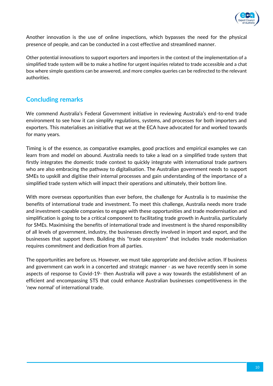

Another innovation is the use of online inspections, which bypasses the need for the physical presence of people, and can be conducted in a cost effective and streamlined manner.

Other potential innovations to support exporters and importers in the context of the implementation of a simplified trade system will be to make a hotline for urgent inquiries related to trade accessible and a chat box where simple questions can be answered, and more complex queries can be redirected to the relevant authorities.

## **Concluding remarks**

We commend Australia's Federal Government initiative in reviewing Australia's end-to-end trade environment to see how it can simplify regulations, systems, and processes for both importers and exporters. This materialises an initiative that we at the ECA have advocated for and worked towards for many years.

Timing is of the essence, as comparative examples, good practices and empirical examples we can learn from and model on abound. Australia needs to take a lead on a simplified trade system that firstly integrates the domestic trade context to quickly integrate with international trade partners who are also embracing the pathway to digitalisation. The Australian government needs to support SMEs to upskill and digitise their internal processes and gain understanding of the importance of a simplified trade system which will impact their operations and ultimately, their bottom line.

With more overseas opportunities than ever before, the challenge for Australia is to maximise the benefits of international trade and investment. To meet this challenge, Australia needs more trade and investment-capable companies to engage with these opportunities and trade modernisation and simplification is going to be a critical component to facilitating trade growth in Australia, particularly for SMEs. Maximising the benefits of international trade and investment is the shared responsibility of all levels of government, industry, the businesses directly involved in import and export, and the businesses that support them. Building this "trade ecosystem" that includes trade modernisation requires commitment and dedication from all parties.

The opportunities are before us. However, we must take appropriate and decisive action. If business and government can work in a concerted and strategic manner - as we have recently seen in some aspects of response to Covid-19- then Australia will pave a way towards the establishment of an efficient and encompassing STS that could enhance Australian businesses competitiveness in the 'new normal' of international trade.